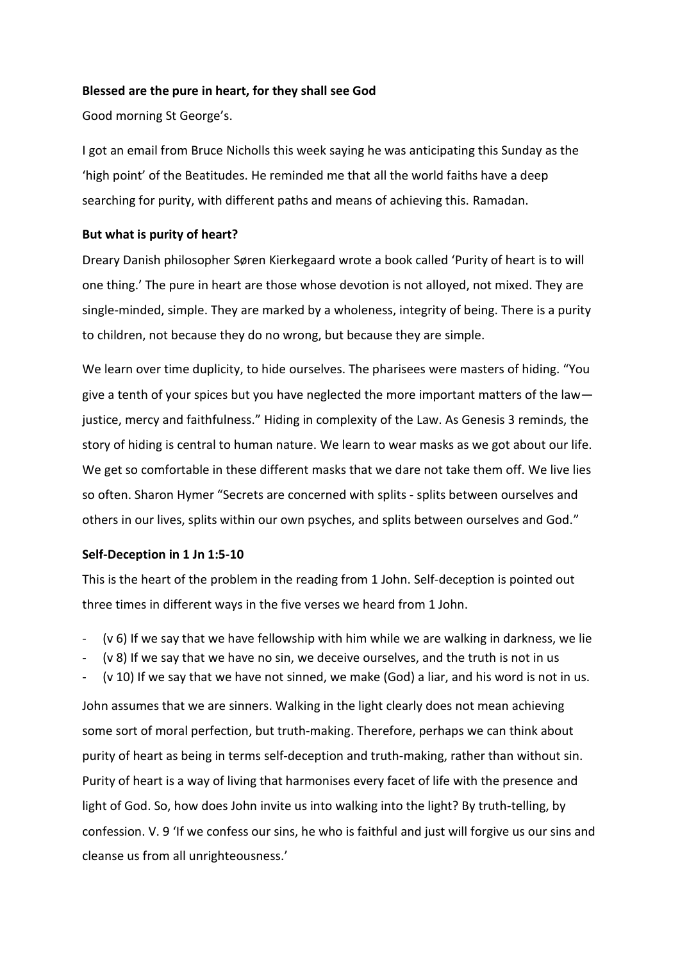# **Blessed are the pure in heart, for they shall see God**

Good morning St George's.

I got an email from Bruce Nicholls this week saying he was anticipating this Sunday as the 'high point' of the Beatitudes. He reminded me that all the world faiths have a deep searching for purity, with different paths and means of achieving this. Ramadan.

# **But what is purity of heart?**

Dreary Danish philosopher Søren Kierkegaard wrote a book called 'Purity of heart is to will one thing.' The pure in heart are those whose devotion is not alloyed, not mixed. They are single-minded, simple. They are marked by a wholeness, integrity of being. There is a purity to children, not because they do no wrong, but because they are simple.

We learn over time duplicity, to hide ourselves. The pharisees were masters of hiding. "You give a tenth of your spices but you have neglected the more important matters of the law justice, mercy and faithfulness." Hiding in complexity of the Law. As Genesis 3 reminds, the story of hiding is central to human nature. We learn to wear masks as we got about our life. We get so comfortable in these different masks that we dare not take them off. We live lies so often. Sharon Hymer "Secrets are concerned with splits - splits between ourselves and others in our lives, splits within our own psyches, and splits between ourselves and God."

## **Self-Deception in 1 Jn 1:5-10**

This is the heart of the problem in the reading from 1 John. Self-deception is pointed out three times in different ways in the five verses we heard from 1 John.

- $(v 6)$  If we say that we have fellowship with him while we are walking in darkness, we lie
- (v 8) If we say that we have no sin, we deceive ourselves, and the truth is not in us
- (v 10) If we say that we have not sinned, we make (God) a liar, and his word is not in us.

John assumes that we are sinners. Walking in the light clearly does not mean achieving some sort of moral perfection, but truth-making. Therefore, perhaps we can think about purity of heart as being in terms self-deception and truth-making, rather than without sin. Purity of heart is a way of living that harmonises every facet of life with the presence and light of God. So, how does John invite us into walking into the light? By truth-telling, by confession. V. 9 'If we confess our sins, he who is faithful and just will forgive us our sins and cleanse us from all unrighteousness.'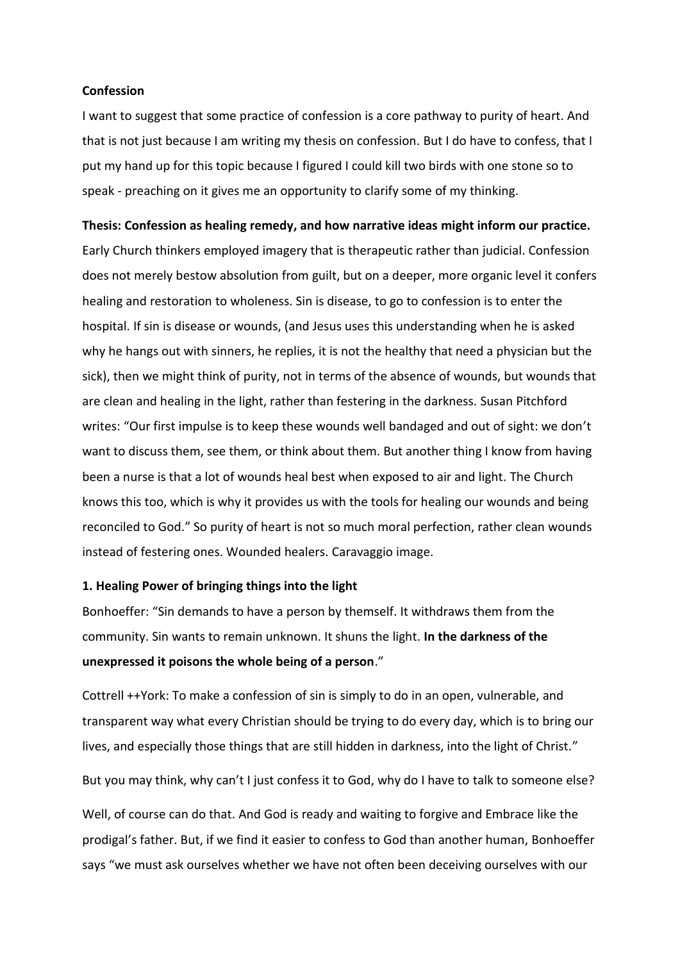### **Confession**

I want to suggest that some practice of confession is a core pathway to purity of heart. And that is not just because I am writing my thesis on confession. But I do have to confess, that I put my hand up for this topic because I figured I could kill two birds with one stone so to speak - preaching on it gives me an opportunity to clarify some of my thinking.

#### **Thesis: Confession as healing remedy, and how narrative ideas might inform our practice.**

Early Church thinkers employed imagery that is therapeutic rather than judicial. Confession does not merely bestow absolution from guilt, but on a deeper, more organic level it confers healing and restoration to wholeness. Sin is disease, to go to confession is to enter the hospital. If sin is disease or wounds, (and Jesus uses this understanding when he is asked why he hangs out with sinners, he replies, it is not the healthy that need a physician but the sick), then we might think of purity, not in terms of the absence of wounds, but wounds that are clean and healing in the light, rather than festering in the darkness. Susan Pitchford writes: "Our first impulse is to keep these wounds well bandaged and out of sight: we don't want to discuss them, see them, or think about them. But another thing I know from having been a nurse is that a lot of wounds heal best when exposed to air and light. The Church knows this too, which is why it provides us with the tools for healing our wounds and being reconciled to God." So purity of heart is not so much moral perfection, rather clean wounds instead of festering ones. Wounded healers. Caravaggio image.

#### **1. Healing Power of bringing things into the light**

Bonhoeffer: "Sin demands to have a person by themself. It withdraws them from the community. Sin wants to remain unknown. It shuns the light. **In the darkness of the unexpressed it poisons the whole being of a person**."

Cottrell ++York: To make a confession of sin is simply to do in an open, vulnerable, and transparent way what every Christian should be trying to do every day, which is to bring our lives, and especially those things that are still hidden in darkness, into the light of Christ."

But you may think, why can't I just confess it to God, why do I have to talk to someone else?

Well, of course can do that. And God is ready and waiting to forgive and Embrace like the prodigal's father. But, if we find it easier to confess to God than another human, Bonhoeffer says "we must ask ourselves whether we have not often been deceiving ourselves with our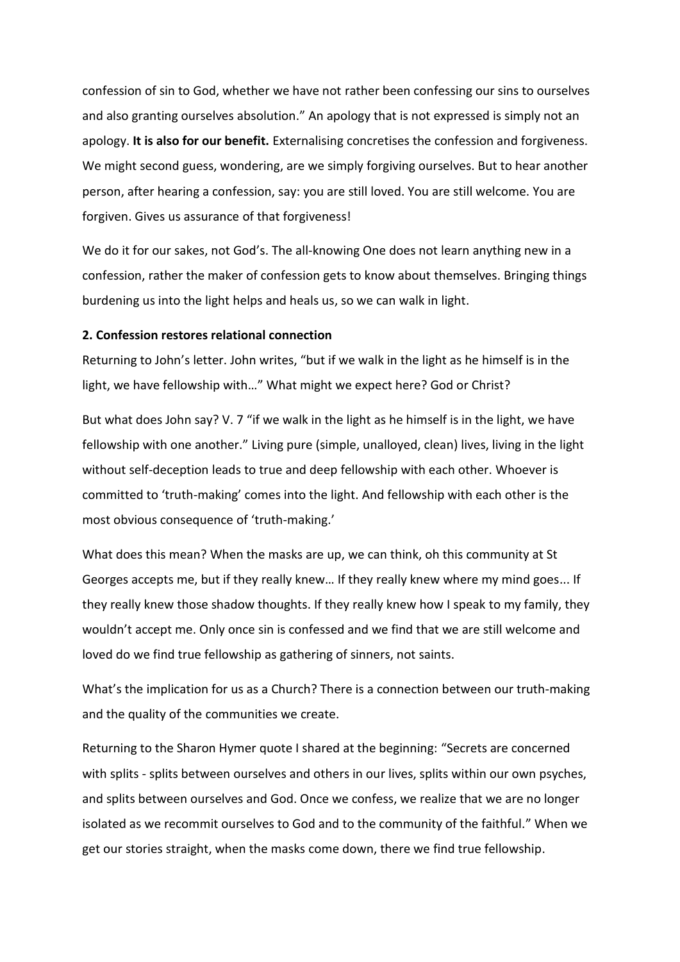confession of sin to God, whether we have not rather been confessing our sins to ourselves and also granting ourselves absolution." An apology that is not expressed is simply not an apology. **It is also for our benefit.** Externalising concretises the confession and forgiveness. We might second guess, wondering, are we simply forgiving ourselves. But to hear another person, after hearing a confession, say: you are still loved. You are still welcome. You are forgiven. Gives us assurance of that forgiveness!

We do it for our sakes, not God's. The all-knowing One does not learn anything new in a confession, rather the maker of confession gets to know about themselves. Bringing things burdening us into the light helps and heals us, so we can walk in light.

# **2. Confession restores relational connection**

Returning to John's letter. John writes, "but if we walk in the light as he himself is in the light, we have fellowship with…" What might we expect here? God or Christ?

But what does John say? V. 7 "if we walk in the light as he himself is in the light, we have fellowship with one another." Living pure (simple, unalloyed, clean) lives, living in the light without self-deception leads to true and deep fellowship with each other. Whoever is committed to 'truth-making' comes into the light. And fellowship with each other is the most obvious consequence of 'truth-making.'

What does this mean? When the masks are up, we can think, oh this community at St Georges accepts me, but if they really knew… If they really knew where my mind goes... If they really knew those shadow thoughts. If they really knew how I speak to my family, they wouldn't accept me. Only once sin is confessed and we find that we are still welcome and loved do we find true fellowship as gathering of sinners, not saints.

What's the implication for us as a Church? There is a connection between our truth-making and the quality of the communities we create.

Returning to the Sharon Hymer quote I shared at the beginning: "Secrets are concerned with splits - splits between ourselves and others in our lives, splits within our own psyches, and splits between ourselves and God. Once we confess, we realize that we are no longer isolated as we recommit ourselves to God and to the community of the faithful." When we get our stories straight, when the masks come down, there we find true fellowship.